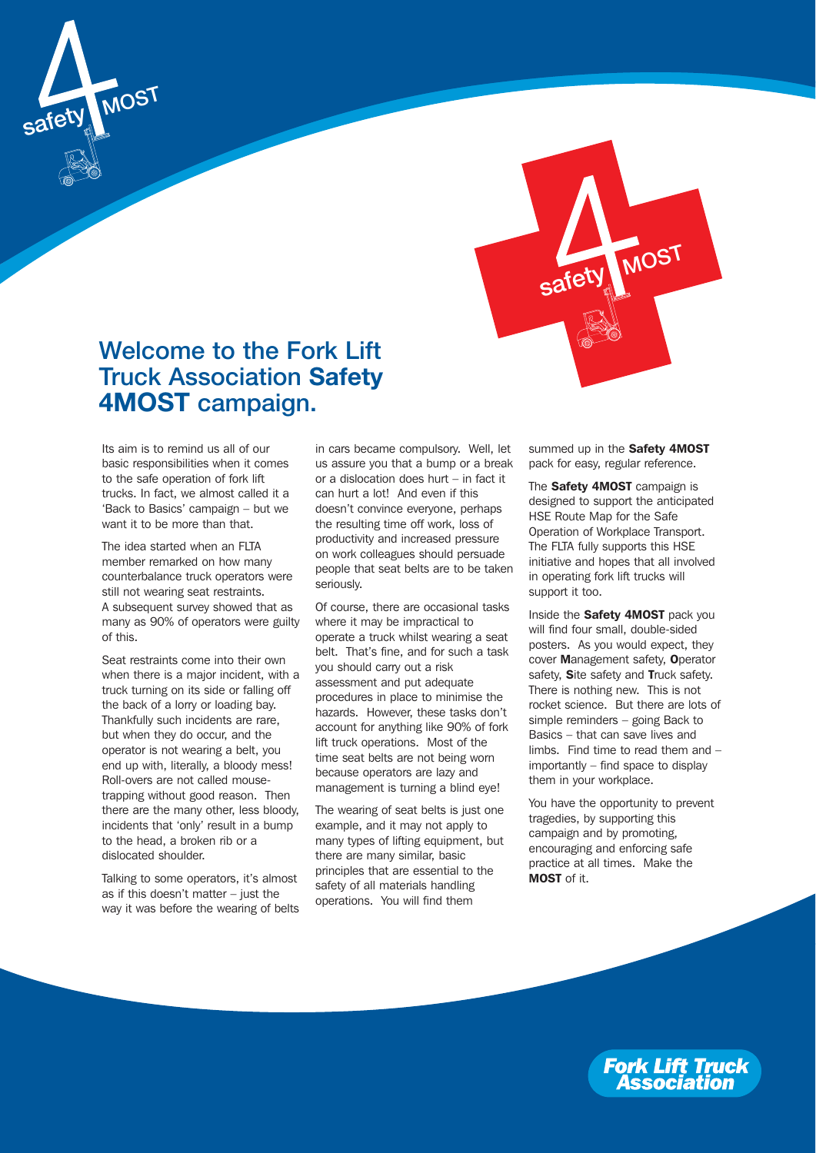



# **Welcome to the Fork Lift Truck Association Safety 4MOST campaign.**

Its aim is to remind us all of our basic responsibilities when it comes to the safe operation of fork lift trucks. In fact, we almost called it a 'Back to Basics' campaign – but we want it to be more than that.

The idea started when an FLTA member remarked on how many counterbalance truck operators were still not wearing seat restraints. A subsequent survey showed that as many as 90% of operators were guilty of this.

Seat restraints come into their own when there is a major incident, with a truck turning on its side or falling off the back of a lorry or loading bay. Thankfully such incidents are rare, but when they do occur, and the operator is not wearing a belt, you end up with, literally, a bloody mess! Roll-overs are not called mousetrapping without good reason. Then there are the many other, less bloody, incidents that 'only' result in a bump to the head, a broken rib or a dislocated shoulder.

Talking to some operators, it's almost as if this doesn't matter – just the way it was before the wearing of belts in cars became compulsory. Well, let us assure you that a bump or a break or a dislocation does hurt – in fact it can hurt a lot! And even if this doesn't convince everyone, perhaps the resulting time off work, loss of productivity and increased pressure on work colleagues should persuade people that seat belts are to be taken seriously.

Of course, there are occasional tasks where it may be impractical to operate a truck whilst wearing a seat belt. That's fine, and for such a task you should carry out a risk assessment and put adequate procedures in place to minimise the hazards. However, these tasks don't account for anything like 90% of fork lift truck operations. Most of the time seat belts are not being worn because operators are lazy and management is turning a blind eye!

The wearing of seat belts is just one example, and it may not apply to many types of lifting equipment, but there are many similar, basic principles that are essential to the safety of all materials handling operations. You will find them

summed up in the Safety 4MOST pack for easy, regular reference.

The Safety 4MOST campaign is designed to support the anticipated HSE Route Map for the Safe Operation of Workplace Transport. The FLTA fully supports this HSE initiative and hopes that all involved in operating fork lift trucks will support it too.

Inside the Safety 4MOST pack you will find four small, double-sided posters. As you would expect, they cover Management safety, Operator safety, Site safety and Truck safety. There is nothing new. This is not rocket science. But there are lots of simple reminders – going Back to Basics – that can save lives and limbs. Find time to read them and – importantly – find space to display them in your workplace.

You have the opportunity to prevent tragedies, by supporting this campaign and by promoting, encouraging and enforcing safe practice at all times. Make the MOST of it.

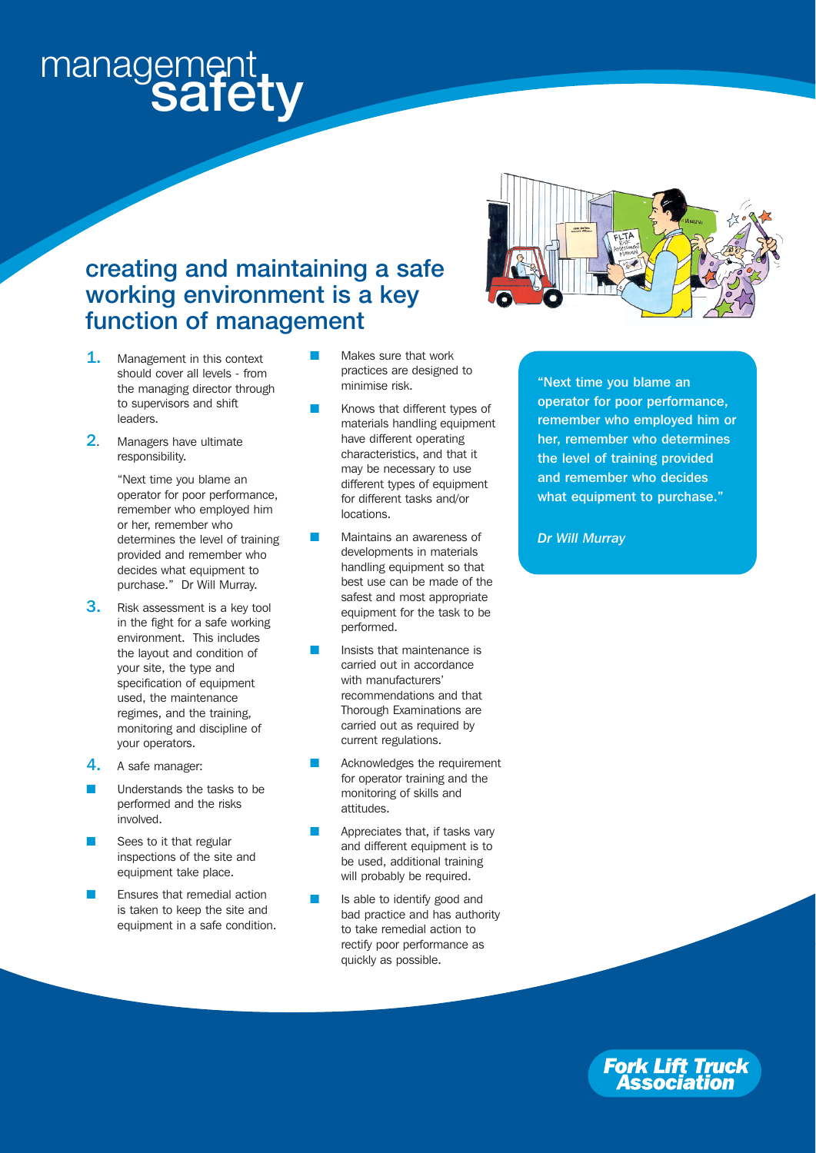# management<br>**safety**

## **creating and maintaining a safe working environment is a key function of management**

- 1. Management in this context should cover all levels - from the managing director through to supervisors and shift leaders.
- 2. Managers have ultimate responsibility.

"Next time you blame an operator for poor performance, remember who employed him or her, remember who determines the level of training provided and remember who decides what equipment to purchase." Dr Will Murray.

- **3.** Risk assessment is a key tool in the fight for a safe working environment. This includes the layout and condition of your site, the type and specification of equipment used, the maintenance regimes, and the training, monitoring and discipline of your operators.
- 4. A safe manager:
- Understands the tasks to be performed and the risks involved.
- Sees to it that regular inspections of the site and equipment take place.
- Ensures that remedial action is taken to keep the site and equipment in a safe condition.
- Makes sure that work practices are designed to minimise risk.
- Knows that different types of materials handling equipment have different operating characteristics, and that it may be necessary to use different types of equipment for different tasks and/or locations.
- Maintains an awareness of developments in materials handling equipment so that best use can be made of the safest and most appropriate equipment for the task to be performed.
- Insists that maintenance is carried out in accordance with manufacturers' recommendations and that Thorough Examinations are carried out as required by current regulations.
- Acknowledges the requirement for operator training and the monitoring of skills and attitudes.
- Appreciates that, if tasks vary and different equipment is to be used, additional training will probably be required.
- Is able to identify good and bad practice and has authority to take remedial action to rectify poor performance as quickly as possible.



"Next time you blame an operator for poor performance, remember who employed him or her, remember who determines the level of training provided and remember who decides what equipment to purchase."

*Dr Will Murray*

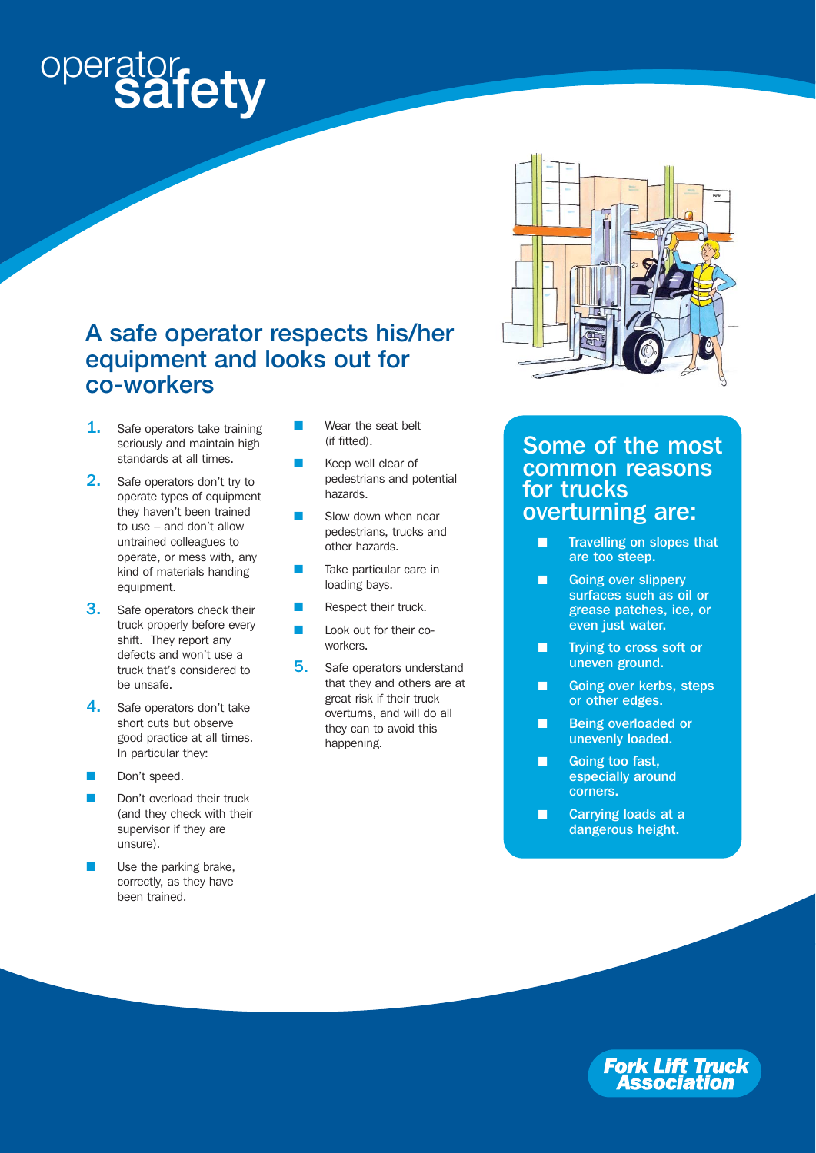# operator **safety**

## **A safe operator respects his/her equipment and looks out for co-workers**

- **1.** Safe operators take training seriously and maintain high standards at all times.
- 2. Safe operators don't try to operate types of equipment they haven't been trained to use – and don't allow untrained colleagues to operate, or mess with, any kind of materials handing equipment.
- **3.** Safe operators check their truck properly before every shift. They report any defects and won't use a truck that's considered to be unsafe.
- 4. Safe operators don't take short cuts but observe good practice at all times. In particular they:
- Don't speed.
- Don't overload their truck (and they check with their supervisor if they are unsure).
- Use the parking brake, correctly, as they have been trained.
- Wear the seat belt (if fitted).
- Keep well clear of pedestrians and potential hazards.
- Slow down when near pedestrians, trucks and other hazards.
- Take particular care in loading bays.
- Respect their truck.
- **Look out for their co**workers.
- 5. Safe operators understand that they and others are at great risk if their truck overturns, and will do all they can to avoid this happening.



### Some of the most common reasons for trucks overturning are:

- **Travelling on slopes that** are too steep.
- Going over slippery surfaces such as oil or grease patches, ice, or even just water.
- Trying to cross soft or uneven ground.
- Going over kerbs, steps or other edges.
- Being overloaded or unevenly loaded.
- Going too fast, especially around corners.
- Carrying loads at a dangerous height.

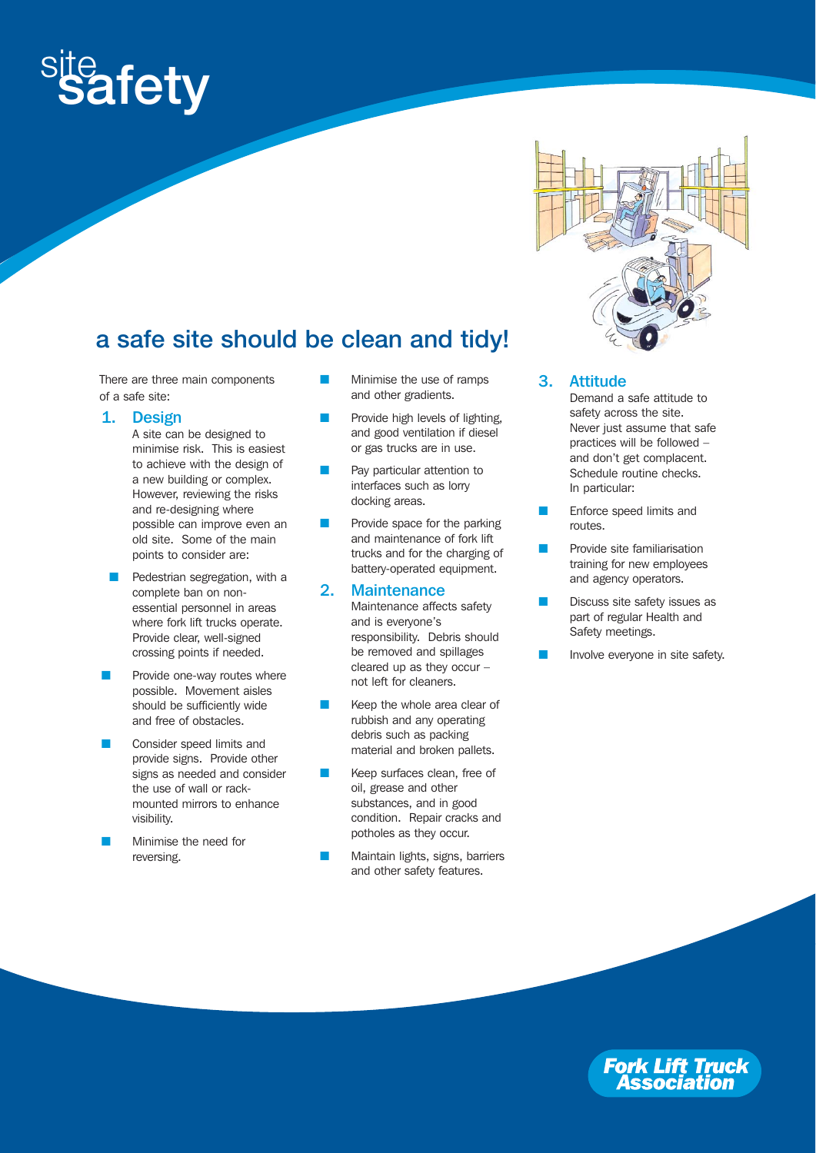

# **a safe site should be clean and tidy!**

There are three main components of a safe site:

1. Design

A site can be designed to minimise risk. This is easiest to achieve with the design of a new building or complex. However, reviewing the risks and re-designing where possible can improve even an old site. Some of the main points to consider are:

- Pedestrian segregation, with a complete ban on nonessential personnel in areas where fork lift trucks operate. Provide clear, well-signed crossing points if needed.
- Provide one-way routes where possible. Movement aisles should be sufficiently wide and free of obstacles.
- Consider speed limits and provide signs. Provide other signs as needed and consider the use of wall or rackmounted mirrors to enhance visibility.
- Minimise the need for reversing.
- Minimise the use of ramps and other gradients.
- Provide high levels of lighting, and good ventilation if diesel or gas trucks are in use.
- Pay particular attention to interfaces such as lorry docking areas.
- Provide space for the parking and maintenance of fork lift trucks and for the charging of battery-operated equipment.

#### 2. Maintenance

Maintenance affects safety and is everyone's responsibility. Debris should be removed and spillages cleared up as they occur – not left for cleaners.

- Keep the whole area clear of rubbish and any operating debris such as packing material and broken pallets.
- Keep surfaces clean, free of oil, grease and other substances, and in good condition. Repair cracks and potholes as they occur.
- Maintain lights, signs, barriers and other safety features.

#### 3. Attitude

- Demand a safe attitude to safety across the site. Never just assume that safe practices will be followed – and don't get complacent. Schedule routine checks. In particular:
- Enforce speed limits and routes.
- Provide site familiarisation training for new employees and agency operators.
- Discuss site safety issues as part of regular Health and Safety meetings.
- Involve everyone in site safety.